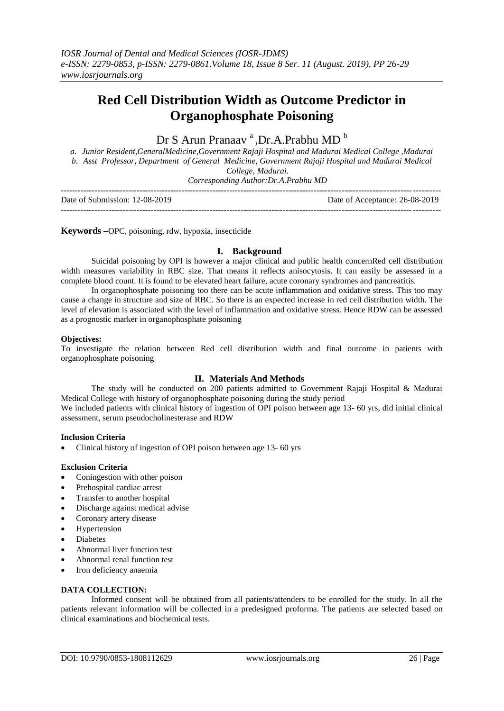# **Red Cell Distribution Width as Outcome Predictor in Organophosphate Poisoning**

# Dr S Arun Pranaav<sup>a</sup>, Dr.A.Prabhu MD<sup>b</sup>

*a. Junior Resident,GeneralMedicine,Government Rajaji Hospital and Madurai Medical College ,Madurai b. Asst Professor, Department of General Medicine, Government Rajaji Hospital and Madurai Medical College, Madurai.*

*Corresponding Author:Dr.A.Prabhu MD*

| Date of Submission: 12-08-2019 | Date of Acceptance: 26-08-2019 |
|--------------------------------|--------------------------------|
|                                |                                |

**Keywords –**OPC, poisoning, rdw, hypoxia, insecticide

# **I. Background**

Suicidal poisoning by OPI is however a major clinical and public health concernRed cell distribution width measures variability in RBC size. That means it reflects anisocytosis. It can easily be assessed in a complete blood count. It is found to be elevated heart failure, acute coronary syndromes and pancreatitis.

In organophosphate poisoning too there can be acute inflammation and oxidative stress. This too may cause a change in structure and size of RBC. So there is an expected increase in red cell distribution width. The level of elevation is associated with the level of inflammation and oxidative stress. Hence RDW can be assessed as a prognostic marker in organophosphate poisoning

### **Objectives:**

To investigate the relation between Red cell distribution width and final outcome in patients with organophosphate poisoning

# **II. Materials And Methods**

The study will be conducted on 200 patients admitted to Government Rajaji Hospital & Madurai Medical College with history of organophosphate poisoning during the study period

We included patients with clinical history of ingestion of OPI poison between age 13- 60 yrs, did initial clinical assessment, serum pseudocholinesterase and RDW

### **Inclusion Criteria**

• Clinical history of ingestion of OPI poison between age 13-60 yrs

# **Exclusion Criteria**

- Coningestion with other poison
- Prehospital cardiac arrest
- Transfer to another hospital
- Discharge against medical advise
- Coronary artery disease
- Hypertension
- Diabetes
- Abnormal liver function test
- Abnormal renal function test
- Iron deficiency anaemia

# **DATA COLLECTION:**

Informed consent will be obtained from all patients/attenders to be enrolled for the study. In all the patients relevant information will be collected in a predesigned proforma. The patients are selected based on clinical examinations and biochemical tests.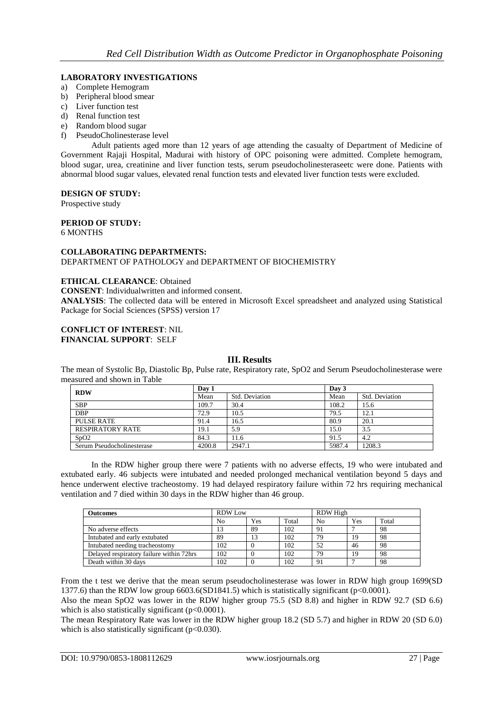# **LABORATORY INVESTIGATIONS**

- a) Complete Hemogram
- b) Peripheral blood smear
- c) Liver function test
- d) Renal function test
- e) Random blood sugar
- f) PseudoCholinesterase level

Adult patients aged more than 12 years of age attending the casualty of Department of Medicine of Government Rajaji Hospital, Madurai with history of OPC poisoning were admitted. Complete hemogram, blood sugar, urea, creatinine and liver function tests, serum pseudocholinesteraseetc were done. Patients with abnormal blood sugar values, elevated renal function tests and elevated liver function tests were excluded.

### **DESIGN OF STUDY:**

Prospective study

# **PERIOD OF STUDY:**

# 6 MONTHS

### **COLLABORATING DEPARTMENTS:** DEPARTMENT OF PATHOLOGY and DEPARTMENT OF BIOCHEMISTRY

### **ETHICAL CLEARANCE**: Obtained

**CONSENT**: Individualwritten and informed consent.

**ANALYSIS**: The collected data will be entered in Microsoft Excel spreadsheet and analyzed using Statistical Package for Social Sciences (SPSS) version 17

#### **CONFLICT OF INTEREST**: NIL **FINANCIAL SUPPORT**: SELF

# **III. Results**

The mean of Systolic Bp, Diastolic Bp, Pulse rate, Respiratory rate, SpO2 and Serum Pseudocholinesterase were measured and shown in Table

| <b>RDW</b>                    | Day 1  |                | Day 3  |                |
|-------------------------------|--------|----------------|--------|----------------|
|                               | Mean   | Std. Deviation | Mean   | Std. Deviation |
| <b>SBP</b>                    | 109.7  | 30.4           | 108.2  | 15.6           |
| <b>DBP</b>                    | 72.9   | 10.5           | 79.5   | 12.1           |
| PULSE RATE                    | 91.4   | 16.5           | 80.9   | 20.1           |
| <b>RESPIRATORY RATE</b>       | 19.1   | 5.9            | 15.0   | 3.5            |
| S <sub>D</sub> O <sub>2</sub> | 84.3   | 11.6           | 91.5   | 4.2            |
| Serum Pseudocholinesterase    | 4200.8 | 2947.1         | 5987.4 | 1208.3         |

In the RDW higher group there were 7 patients with no adverse effects, 19 who were intubated and extubated early. 46 subjects were intubated and needed prolonged mechanical ventilation beyond 5 days and hence underwent elective tracheostomy. 19 had delayed respiratory failure within 72 hrs requiring mechanical ventilation and 7 died within 30 days in the RDW higher than 46 group.

| <b>Outcomes</b>                          | <b>RDW</b> Low |     |       | RDW High       |     |       |
|------------------------------------------|----------------|-----|-------|----------------|-----|-------|
|                                          | No             | Yes | Total | N <sub>0</sub> | Yes | Total |
| No adverse effects                       | 13             | 89  | 102   | 91             |     | 98    |
| Intubated and early extubated            | 89             | 13  | 102   | 79             | 19  | 98    |
| Intubated needing tracheostomy           | 102            |     | 102   | 52             | 46  | 98    |
| Delayed respiratory failure within 72hrs | 102            |     | 102   | 79             | 19  | 98    |
| Death within 30 days                     | 102            |     | 102   | 91             |     | 98    |

From the t test we derive that the mean serum pseudocholinesterase was lower in RDW high group 1699(SD 1377.6) than the RDW low group 6603.6(SD1841.5) which is statistically significant (p<0.0001).

Also the mean SpO2 was lower in the RDW higher group 75.5 (SD 8.8) and higher in RDW 92.7 (SD 6.6) which is also statistically significant (p<0.0001).

The mean Respiratory Rate was lower in the RDW higher group 18.2 (SD 5.7) and higher in RDW 20 (SD 6.0) which is also statistically significant ( $p<0.030$ ).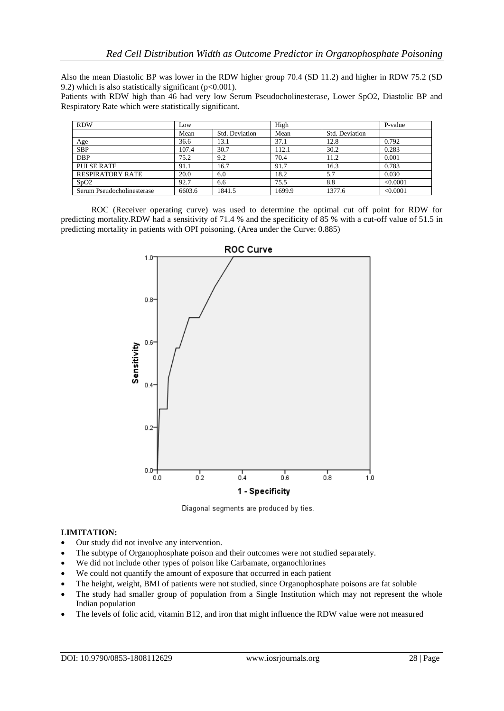Also the mean Diastolic BP was lower in the RDW higher group 70.4 (SD 11.2) and higher in RDW 75.2 (SD 9.2) which is also statistically significant ( $p<0.001$ ).

Patients with RDW high than 46 had very low Serum Pseudocholinesterase, Lower SpO2, Diastolic BP and Respiratory Rate which were statistically significant.

| <b>RDW</b>                 | Low    |                | High   | P-value        |          |
|----------------------------|--------|----------------|--------|----------------|----------|
|                            | Mean   | Std. Deviation | Mean   | Std. Deviation |          |
| Age                        | 36.6   | 13.1           | 37.1   | 12.8           | 0.792    |
| <b>SBP</b>                 | 107.4  | 30.7           | 112.1  | 30.2           | 0.283    |
| <b>DBP</b>                 | 75.2   | 9.2            | 70.4   | 11.2           | 0.001    |
| PULSE RATE                 | 91.1   | 16.7           | 91.7   | 16.3           | 0.783    |
| <b>RESPIRATORY RATE</b>    | 20.0   | 6.0            | 18.2   | 5.7            | 0.030    |
| SpO2                       | 92.7   | 6.6            | 75.5   | 8.8            | < 0.0001 |
| Serum Pseudocholinesterase | 6603.6 | 1841.5         | 1699.9 | 1377.6         | < 0.0001 |

ROC (Receiver operating curve) was used to determine the optimal cut off point for RDW for predicting mortality.RDW had a sensitivity of 71.4 % and the specificity of 85 % with a cut-off value of 51.5 in predicting mortality in patients with OPI poisoning. (Area under the Curve: 0.885)



Diagonal segments are produced by ties.

### **LIMITATION:**

- Our study did not involve any intervention.
- The subtype of Organophosphate poison and their outcomes were not studied separately.
- We did not include other types of poison like Carbamate, organochlorines
- We could not quantify the amount of exposure that occurred in each patient
- The height, weight, BMI of patients were not studied, since Organophosphate poisons are fat soluble
- The study had smaller group of population from a Single Institution which may not represent the whole Indian population
- The levels of folic acid, vitamin B12, and iron that might influence the RDW value were not measured